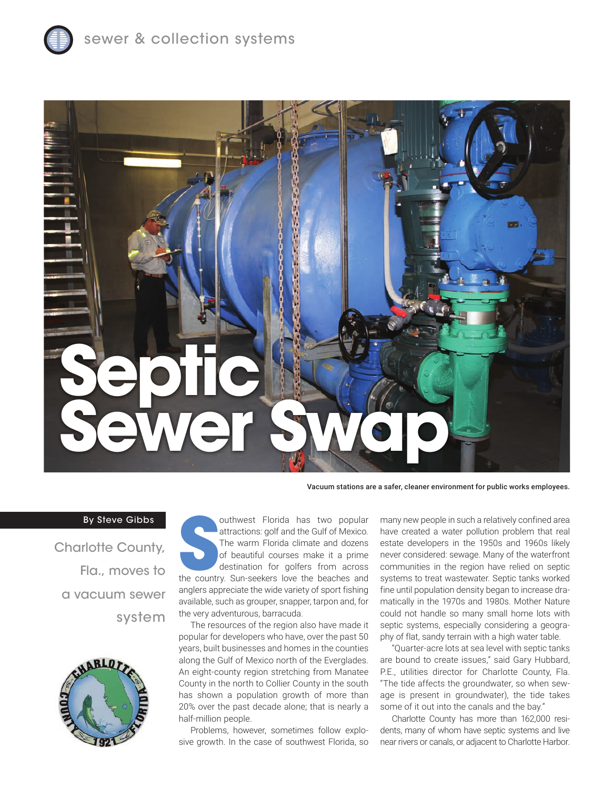



Vacuum stations are a safer, cleaner environment for public works employees.

## By Steve Gibbs

Charlotte County, Fla., moves to a vacuum sewer system



outhwest Florida has two popular<br>
attractions: golf and the Gulf of Mexico.<br>
The warm Florida climate and dozens<br>
of beautiful courses make it a prime<br>
destination for golfers from across<br>
the country. Sun-seekers love the outhwest Florida has two popular attractions: golf and the Gulf of Mexico. The warm Florida climate and dozens of beautiful courses make it a prime destination for golfers from across anglers appreciate the wide variety of sport fishing available, such as grouper, snapper, tarpon and, for the very adventurous, barracuda.

The resources of the region also have made it popular for developers who have, over the past 50 years, built businesses and homes in the counties along the Gulf of Mexico north of the Everglades. An eight-county region stretching from Manatee County in the north to Collier County in the south has shown a population growth of more than 20% over the past decade alone; that is nearly a half-million people.

Problems, however, sometimes follow explosive growth. In the case of southwest Florida, so

many new people in such a relatively confined area have created a water pollution problem that real estate developers in the 1950s and 1960s likely never considered: sewage. Many of the waterfront communities in the region have relied on septic systems to treat wastewater. Septic tanks worked fine until population density began to increase dramatically in the 1970s and 1980s. Mother Nature could not handle so many small home lots with septic systems, especially considering a geography of flat, sandy terrain with a high water table.

"Quarter-acre lots at sea level with septic tanks are bound to create issues," said Gary Hubbard, P.E., utilities director for Charlotte County, Fla. "The tide affects the groundwater, so when sewage is present in groundwater), the tide takes some of it out into the canals and the bay."

Charlotte County has more than 162,000 residents, many of whom have septic systems and live near rivers or canals, or adjacent to Charlotte Harbor.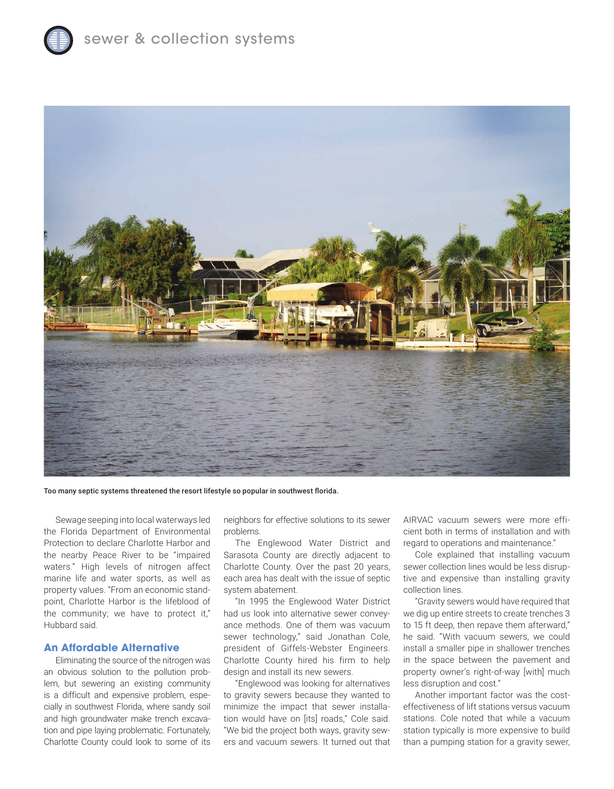

Too many septic systems threatened the resort lifestyle so popular in southwest florida.

Sewage seeping into local waterways led the Florida Department of Environmental Protection to declare Charlotte Harbor and the nearby Peace River to be "impaired waters." High levels of nitrogen affect marine life and water sports, as well as property values. "From an economic standpoint, Charlotte Harbor is the lifeblood of the community; we have to protect it," Hubbard said.

## **An Affordable Alternative**

Eliminating the source of the nitrogen was an obvious solution to the pollution problem, but sewering an existing community is a difficult and expensive problem, especially in southwest Florida, where sandy soil and high groundwater make trench excavation and pipe laying problematic. Fortunately, Charlotte County could look to some of its

neighbors for effective solutions to its sewer problems.

The Englewood Water District and Sarasota County are directly adjacent to Charlotte County. Over the past 20 years, each area has dealt with the issue of septic system abatement.

"In 1995 the Englewood Water District had us look into alternative sewer conveyance methods. One of them was vacuum sewer technology," said Jonathan Cole, president of Giffels-Webster Engineers. Charlotte County hired his firm to help design and install its new sewers.

"Englewood was looking for alternatives to gravity sewers because they wanted to minimize the impact that sewer installation would have on [its] roads," Cole said. "We bid the project both ways, gravity sewers and vacuum sewers. It turned out that AIRVAC vacuum sewers were more efficient both in terms of installation and with regard to operations and maintenance."

Cole explained that installing vacuum sewer collection lines would be less disruptive and expensive than installing gravity collection lines.

"Gravity sewers would have required that we dig up entire streets to create trenches 3 to 15 ft deep, then repave them afterward," he said. "With vacuum sewers, we could install a smaller pipe in shallower trenches in the space between the pavement and property owner's right-of-way [with] much less disruption and cost."

Another important factor was the costeffectiveness of lift stations versus vacuum stations. Cole noted that while a vacuum station typically is more expensive to build than a pumping station for a gravity sewer,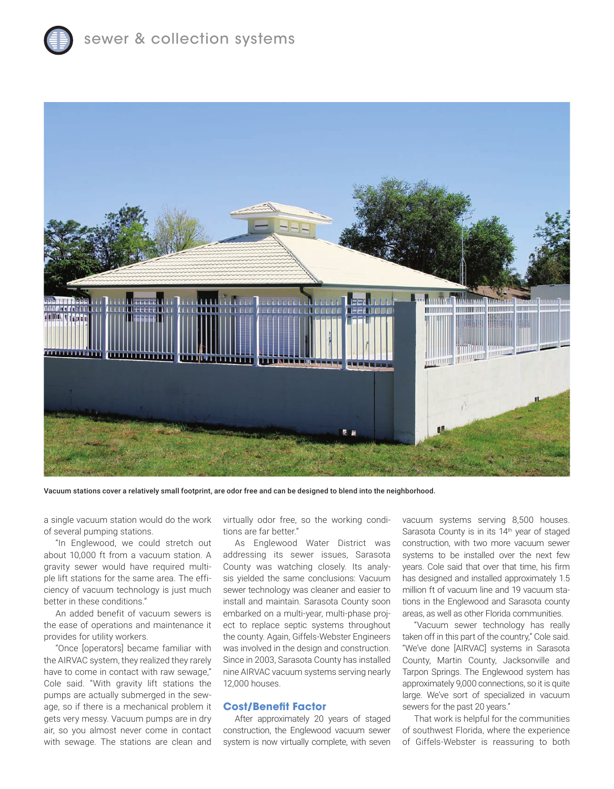

Vacuum stations cover a relatively small footprint, are odor free and can be designed to blend into the neighborhood.

a single vacuum station would do the work of several pumping stations.

"In Englewood, we could stretch out about 10,000 ft from a vacuum station. A gravity sewer would have required multiple lift stations for the same area. The efficiency of vacuum technology is just much better in these conditions."

An added benefit of vacuum sewers is the ease of operations and maintenance it provides for utility workers.

"Once [operators] became familiar with the AIRVAC system, they realized they rarely have to come in contact with raw sewage," Cole said. "With gravity lift stations the pumps are actually submerged in the sewage, so if there is a mechanical problem it gets very messy. Vacuum pumps are in dry air, so you almost never come in contact with sewage. The stations are clean and

virtually odor free, so the working conditions are far better."

As Englewood Water District was addressing its sewer issues, Sarasota County was watching closely. Its analysis yielded the same conclusions: Vacuum sewer technology was cleaner and easier to install and maintain. Sarasota County soon embarked on a multi-year, multi-phase project to replace septic systems throughout the county. Again, Giffels-Webster Engineers was involved in the design and construction. Since in 2003, Sarasota County has installed nine AIRVAC vacuum systems serving nearly 12,000 houses.

## **Cost/Benefit Factor**

After approximately 20 years of staged construction, the Englewood vacuum sewer system is now virtually complete, with seven vacuum systems serving 8,500 houses. Sarasota County is in its 14<sup>th</sup> year of staged construction, with two more vacuum sewer systems to be installed over the next few years. Cole said that over that time, his firm has designed and installed approximately 1.5 million ft of vacuum line and 19 vacuum stations in the Englewood and Sarasota county areas, as well as other Florida communities.

"Vacuum sewer technology has really taken off in this part of the country," Cole said. "We've done [AIRVAC] systems in Sarasota County, Martin County, Jacksonville and Tarpon Springs. The Englewood system has approximately 9,000 connections, so it is quite large. We've sort of specialized in vacuum sewers for the past 20 years."

That work is helpful for the communities of southwest Florida, where the experience of Giffels-Webster is reassuring to both